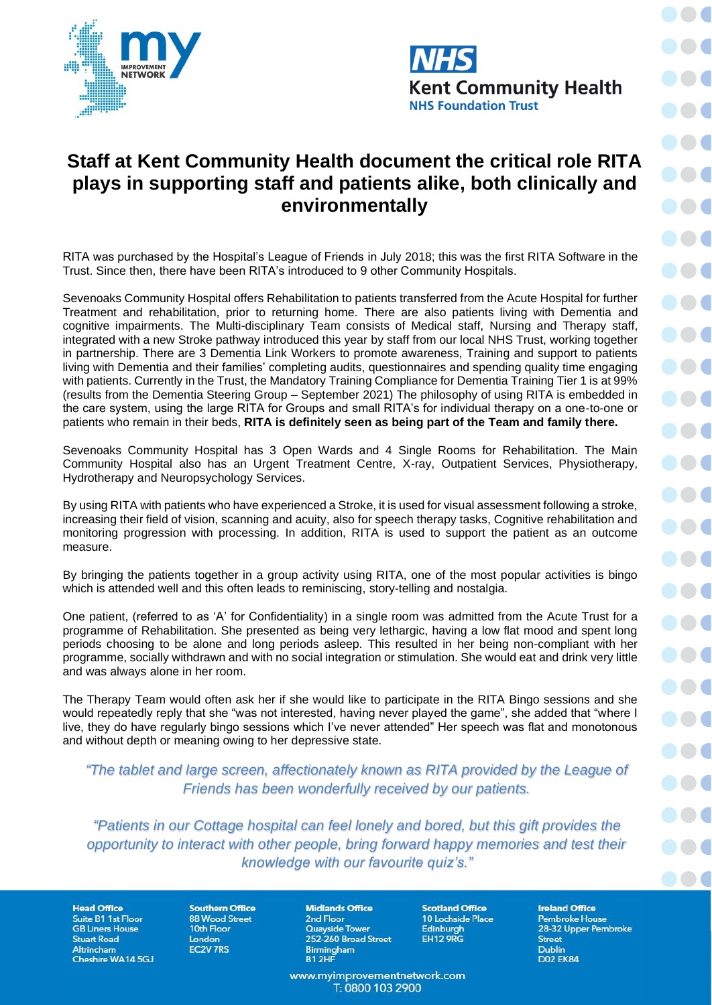



## **Staff at Kent Community Health document the critical role RITA plays in supporting staff and patients alike, both clinically and environmentally**

RITA was purchased by the Hospital's League of Friends in July 2018; this was the first RITA Software in the Trust. Since then, there have been RITA's introduced to 9 other Community Hospitals.

Sevenoaks Community Hospital offers Rehabilitation to patients transferred from the Acute Hospital for further Treatment and rehabilitation, prior to returning home. There are also patients living with Dementia and cognitive impairments. The Multi-disciplinary Team consists of Medical staff, Nursing and Therapy staff, integrated with a new Stroke pathway introduced this year by staff from our local NHS Trust, working together in partnership. There are 3 Dementia Link Workers to promote awareness, Training and support to patients living with Dementia and their families' completing audits, questionnaires and spending quality time engaging with patients. Currently in the Trust, the Mandatory Training Compliance for Dementia Training Tier 1 is at 99% (results from the Dementia Steering Group – September 2021) The philosophy of using RITA is embedded in the care system, using the large RITA for Groups and small RITA's for individual therapy on a one-to-one or patients who remain in their beds, **RITA is definitely seen as being part of the Team and family there.**

Sevenoaks Community Hospital has 3 Open Wards and 4 Single Rooms for Rehabilitation. The Main Community Hospital also has an Urgent Treatment Centre, X-ray, Outpatient Services, Physiotherapy, Hydrotherapy and Neuropsychology Services.

By using RITA with patients who have experienced a Stroke, it is used for visual assessment following a stroke, increasing their field of vision, scanning and acuity, also for speech therapy tasks, Cognitive rehabilitation and monitoring progression with processing. In addition, RITA is used to support the patient as an outcome measure.

By bringing the patients together in a group activity using RITA, one of the most popular activities is bingo which is attended well and this often leads to reminiscing, story-telling and nostalgia.

One patient, (referred to as 'A' for Confidentiality) in a single room was admitted from the Acute Trust for a programme of Rehabilitation. She presented as being very lethargic, having a low flat mood and spent long periods choosing to be alone and long periods asleep. This resulted in her being non-compliant with her programme, socially withdrawn and with no social integration or stimulation. She would eat and drink very little and was always alone in her room.

The Therapy Team would often ask her if she would like to participate in the RITA Bingo sessions and she would repeatedly reply that she "was not interested, having never played the game", she added that "where I live, they do have regularly bingo sessions which I've never attended" Her speech was flat and monotonous and without depth or meaning owing to her depressive state.

*"The tablet and large screen, affectionately known as RITA provided by the League of Friends has been wonderfully received by our patients.* 

*"Patients in our Cottage hospital can feel lonely and bored, but this gift provides the opportunity to interact with other people, bring forward happy memories and test their knowledge with our favourite quiz's."*

**Head Office** Suite B1 1st Floor **GB Liners House Stuart Road** Altrincham Cheshire WA14 5GJ

**Southern Office 88 Wood Street** 10th Floor London EC2V 7RS

**Midlands Office** 2nd Floor **Quayside Tower** 252-260 Broad Street Birmingham<br>B1 2HF

www.myimprovementnetwork.com T: 0800 103 2900

**Scotland Office** 10 Lochside Place

Edinburgh

**EH12 9RG** 

**Ireland Office** Pembroke House 28-32 Upper Pembroke **Street Dublin D02 EK84**